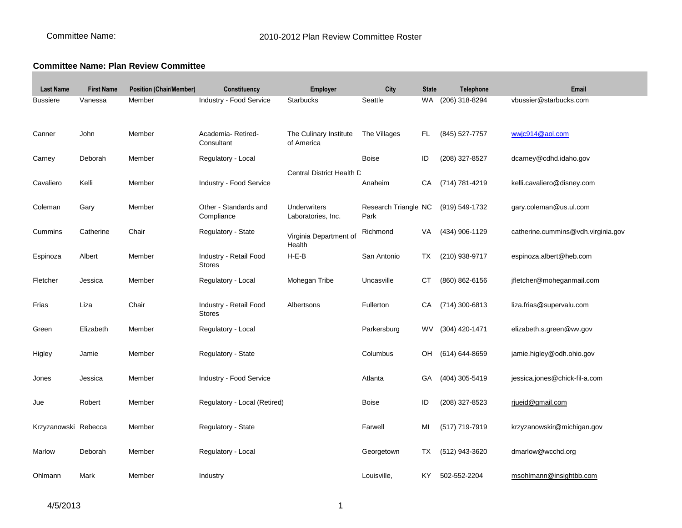## **Committee Name: Plan Review Committee**

| <b>Last Name</b>     | <b>First Name</b> | <b>Position (Chair/Member)</b> | Constituency                            | Employer                                  | City                         | <b>State</b> | Telephone      | <b>Email</b>                       |
|----------------------|-------------------|--------------------------------|-----------------------------------------|-------------------------------------------|------------------------------|--------------|----------------|------------------------------------|
| <b>Bussiere</b>      | Vanessa           | Member                         | Industry - Food Service                 | Starbucks                                 | Seattle                      | <b>WA</b>    | (206) 318-8294 | vbussier@starbucks.com             |
| Canner               | John              | Member                         | Academia-Retired-<br>Consultant         | The Culinary Institute<br>of America      | The Villages                 | FL.          | (845) 527-7757 | wwjc914@aol.com                    |
| Carney               | Deborah           | Member                         | Regulatory - Local                      |                                           | <b>Boise</b>                 | ID           | (208) 327-8527 | dcarney@cdhd.idaho.gov             |
| Cavaliero            | Kelli             | Member                         | Industry - Food Service                 | Central District Health C                 | Anaheim                      | CA           | (714) 781-4219 | kelli.cavaliero@disney.com         |
| Coleman              | Gary              | Member                         | Other - Standards and<br>Compliance     | <b>Underwriters</b><br>Laboratories, Inc. | Research Triangle NC<br>Park |              | (919) 549-1732 | gary.coleman@us.ul.com             |
| Cummins              | Catherine         | Chair                          | Regulatory - State                      | Virginia Department of<br>Health          | Richmond                     | VA           | (434) 906-1129 | catherine.cummins@vdh.virginia.gov |
| Espinoza             | Albert            | Member                         | Industry - Retail Food<br><b>Stores</b> | $H-E-B$                                   | San Antonio                  | TX           | (210) 938-9717 | espinoza.albert@heb.com            |
| Fletcher             | Jessica           | Member                         | Regulatory - Local                      | Mohegan Tribe                             | Uncasville                   | СT           | (860) 862-6156 | jfletcher@moheganmail.com          |
| Frias                | Liza              | Chair                          | Industry - Retail Food<br><b>Stores</b> | Albertsons                                | Fullerton                    | СA           | (714) 300-6813 | liza.frias@supervalu.com           |
| Green                | Elizabeth         | Member                         | Regulatory - Local                      |                                           | Parkersburg                  | <b>WV</b>    | (304) 420-1471 | elizabeth.s.green@wv.gov           |
| Higley               | Jamie             | Member                         | Regulatory - State                      |                                           | Columbus                     | OH           | (614) 644-8659 | jamie.higley@odh.ohio.gov          |
| Jones                | Jessica           | Member                         | Industry - Food Service                 |                                           | Atlanta                      | GA           | (404) 305-5419 | jessica.jones@chick-fil-a.com      |
| Jue                  | Robert            | Member                         | Regulatory - Local (Retired)            |                                           | <b>Boise</b>                 | ID           | (208) 327-8523 | rjueid@gmail.com                   |
| Krzyzanowski Rebecca |                   | Member                         | Regulatory - State                      |                                           | Farwell                      | MI           | (517) 719-7919 | krzyzanowskir@michigan.gov         |
| Marlow               | Deborah           | Member                         | Regulatory - Local                      |                                           | Georgetown                   | TX           | (512) 943-3620 | dmarlow@wcchd.org                  |
| Ohlmann              | Mark              | Member                         | Industry                                |                                           | Louisville,                  | KY           | 502-552-2204   | msohlmann@insightbb.com            |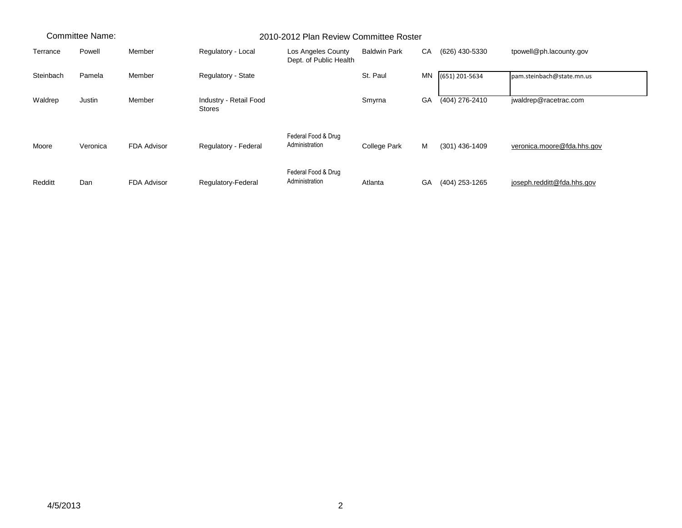| Committee Name: |          |                    | 2010-2012 Plan Review Committee Roster  |                                              |                     |    |                  |                            |
|-----------------|----------|--------------------|-----------------------------------------|----------------------------------------------|---------------------|----|------------------|----------------------------|
| Terrance        | Powell   | Member             | Regulatory - Local                      | Los Angeles County<br>Dept. of Public Health | <b>Baldwin Park</b> | CA | (626) 430-5330   | tpowell@ph.lacounty.gov    |
| Steinbach       | Pamela   | Member             | Regulatory - State                      |                                              | St. Paul            | MN | (651) 201-5634   | pam.steinbach@state.mn.us  |
| Waldrep         | Justin   | Member             | Industry - Retail Food<br><b>Stores</b> |                                              | Smyrna              | GA | (404) 276-2410   | jwaldrep@racetrac.com      |
| Moore           | Veronica | FDA Advisor        | Regulatory - Federal                    | Federal Food & Drug<br>Administration        | College Park        | M  | $(301)$ 436-1409 | veronica.moore@fda.hhs.gov |
| Redditt         | Dan      | <b>FDA Advisor</b> | Regulatory-Federal                      | Federal Food & Drug<br>Administration        | Atlanta             | GA | (404) 253-1265   | joseph.redditt@fda.hhs.gov |